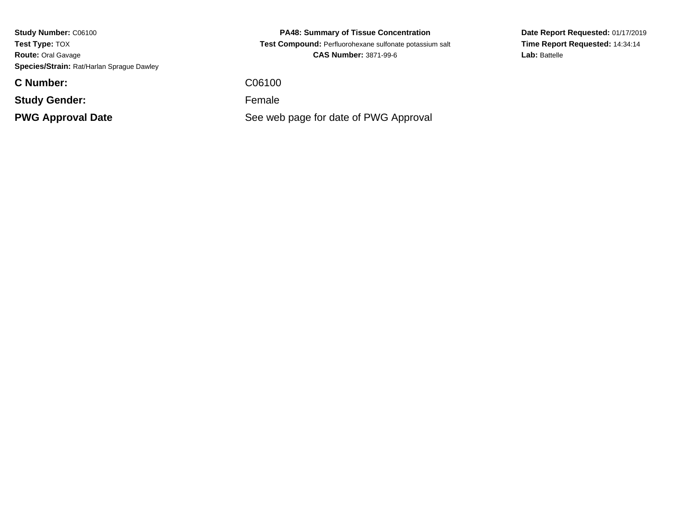**Study Number:** C06100**Test Type:** TOX **Route:** Oral Gavage**Species/Strain:** Rat/Harlan Sprague Dawley

**C Number:**

**Study Gender:**

**PWG Approval Date**

**PA48: Summary of Tissue Concentration Test Compound:** Perfluorohexane sulfonate potassium salt**CAS Number:** 3871-99-6

C06100

Female

See web page for date of PWG Approval

**Date Report Requested:** 01/17/2019**Time Report Requested:** 14:34:14Lab: Battelle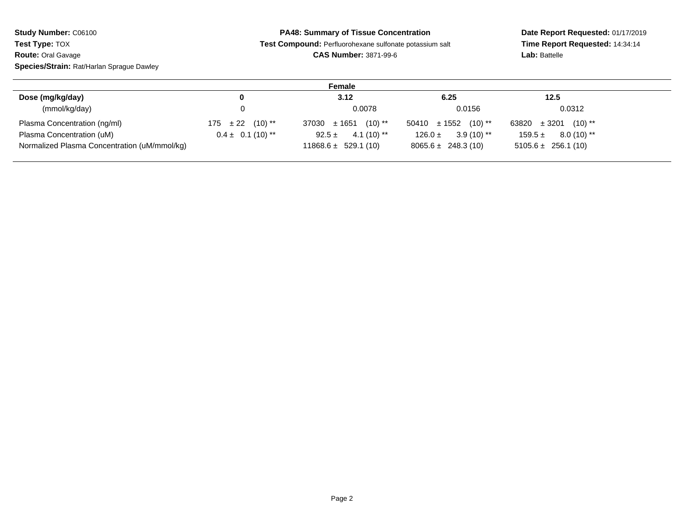**Study Number:** C06100**Test Type:** TOX**Route:** Oral Gavage

**Species/Strain:** Rat/Harlan Sprague Dawley

## **PA48: Summary of Tissue Concentration**

**Test Compound:** Perfluorohexane sulfonate potassium salt

**CAS Number:** 3871-99-6

**Date Report Requested:** 01/17/2019**Time Report Requested:** 14:34:14**Lab:** Battelle

|                                              |                       | Female                              |                             |                               |
|----------------------------------------------|-----------------------|-------------------------------------|-----------------------------|-------------------------------|
| Dose (mg/kg/day)                             | 0                     | 3.12                                | 6.25                        | 12.5                          |
| (mmol/kg/day)                                |                       | 0.0078                              | 0.0156                      | 0.0312                        |
| Plasma Concentration (ng/ml)                 | $175 \pm 22$ (10) **  | $37030 \pm 1651$ (10) <sup>**</sup> | $50410 \pm 1552$ (10) **    | $(10)$ **<br>$63820 \pm 3201$ |
| Plasma Concentration (uM)                    | $0.4 \pm 0.1$ (10) ** | 4.1 (10) **<br>$92.5 \pm$           | $3.9(10)$ **<br>$126.0 \pm$ | $8.0(10)$ **<br>$159.5 \pm$   |
| Normalized Plasma Concentration (uM/mmol/kg) |                       | $11868.6 \pm 529.1(10)$             | $8065.6 \pm 248.3(10)$      | $5105.6 \pm 256.1(10)$        |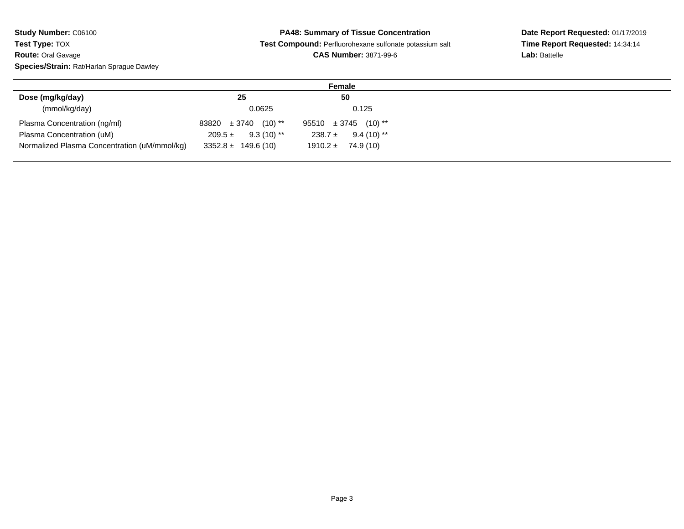**Study Number:** C06100**Test Type:** TOX **Route:** Oral Gavage**Species/Strain:** Rat/Harlan Sprague Dawley

## **PA48: Summary of Tissue ConcentrationTest Compound:** Perfluorohexane sulfonate potassium salt

## **CAS Number:** 3871-99-6

**Date Report Requested:** 01/17/2019**Time Report Requested:** 14:34:14**Lab:** Battelle

| Female                                       |                          |                             |  |
|----------------------------------------------|--------------------------|-----------------------------|--|
| Dose (mg/kg/day)                             | 25                       | 50                          |  |
| (mmol/kg/day)                                | 0.0625                   | 0.125                       |  |
| Plasma Concentration (ng/ml)                 | $83820 \pm 3740$ (10) ** | $95510 \pm 3745$ (10) **    |  |
| Plasma Concentration (uM)                    | $209.5 \pm 9.3(10)$ **   | $9.4(10)$ **<br>$238.7 \pm$ |  |
| Normalized Plasma Concentration (uM/mmol/kg) | $3352.8 \pm 149.6(10)$   | $1910.2 \pm 74.9(10)$       |  |
|                                              |                          |                             |  |